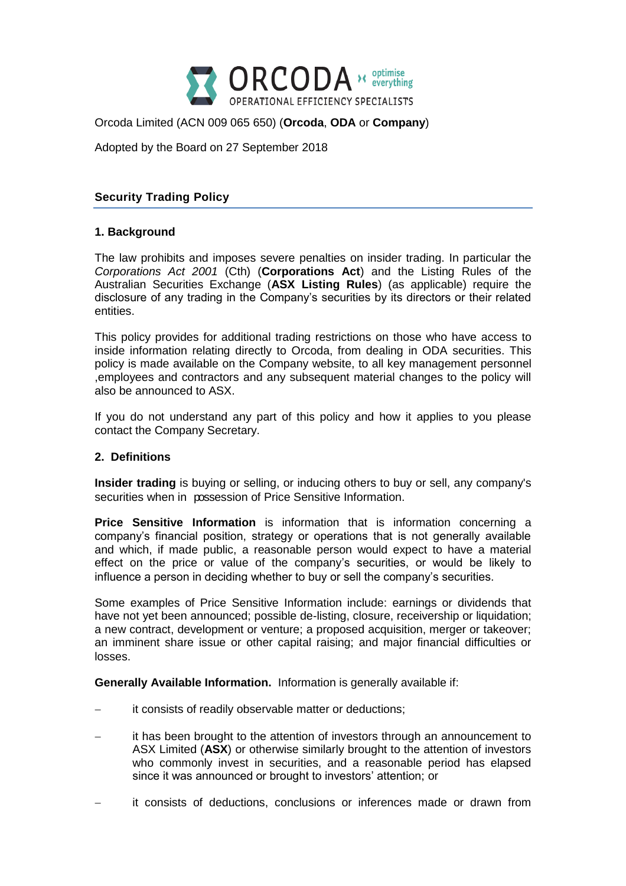

# Orcoda Limited (ACN 009 065 650) (**Orcoda**, **ODA** or **Company**)

Adopted by the Board on 27 September 2018

# **Security Trading Policy**

## **1. Background**

The law prohibits and imposes severe penalties on insider trading. In particular the *Corporations Act 2001* (Cth) (**Corporations Act**) and the Listing Rules of the Australian Securities Exchange (**ASX Listing Rules**) (as applicable) require the disclosure of any trading in the Company's securities by its directors or their related entities.

This policy provides for additional trading restrictions on those who have access to inside information relating directly to Orcoda, from dealing in ODA securities. This policy is made available on the Company website, to all key management personnel ,employees and contractors and any subsequent material changes to the policy will also be announced to ASX.

If you do not understand any part of this policy and how it applies to you please contact the Company Secretary.

#### **2. Definitions**

**Insider trading** is buying or selling, or inducing others to buy or sell, any company's securities when in possession of Price Sensitive Information.

**Price Sensitive Information** is information that is information concerning a company's financial position, strategy or operations that is not generally available and which, if made public, a reasonable person would expect to have a material effect on the price or value of the company's securities, or would be likely to influence a person in deciding whether to buy or sell the company's securities.

Some examples of Price Sensitive Information include: earnings or dividends that have not yet been announced; possible de-listing, closure, receivership or liquidation; a new contract, development or venture; a proposed acquisition, merger or takeover; an imminent share issue or other capital raising; and major financial difficulties or losses.

**Generally Available Information.** Information is generally available if:

- it consists of readily observable matter or deductions;
- it has been brought to the attention of investors through an announcement to ASX Limited (**ASX**) or otherwise similarly brought to the attention of investors who commonly invest in securities, and a reasonable period has elapsed since it was announced or brought to investors' attention; or
- it consists of deductions, conclusions or inferences made or drawn from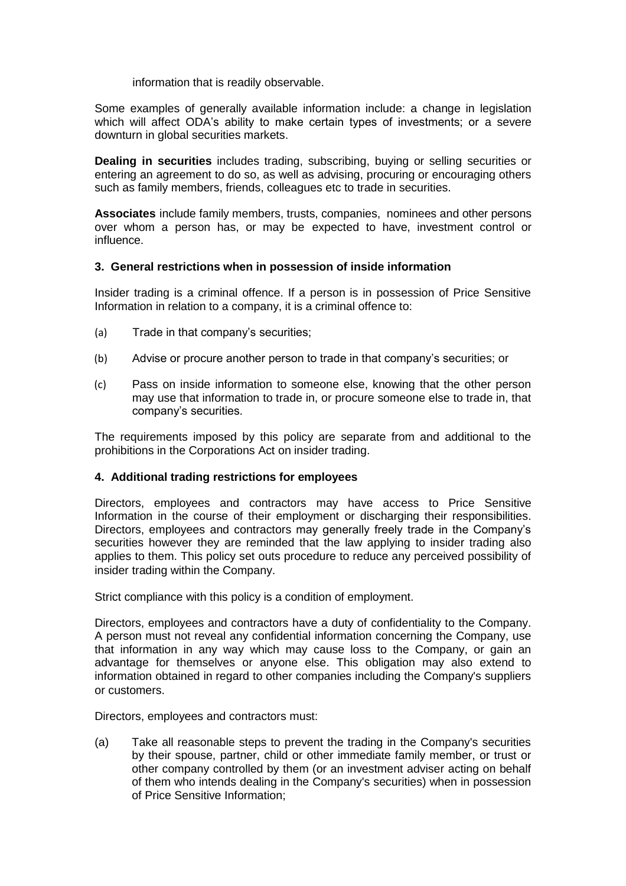information that is readily observable.

Some examples of generally available information include: a change in legislation which will affect ODA's ability to make certain types of investments; or a severe downturn in global securities markets.

**Dealing in securities** includes trading, subscribing, buying or selling securities or entering an agreement to do so, as well as advising, procuring or encouraging others such as family members, friends, colleagues etc to trade in securities.

**Associates** include family members, trusts, companies, nominees and other persons over whom a person has, or may be expected to have, investment control or influence.

## **3. General restrictions when in possession of inside information**

Insider trading is a criminal offence. If a person is in possession of Price Sensitive Information in relation to a company, it is a criminal offence to:

- (a) Trade in that company's securities;
- (b) Advise or procure another person to trade in that company's securities; or
- (c) Pass on inside information to someone else, knowing that the other person may use that information to trade in, or procure someone else to trade in, that company's securities.

The requirements imposed by this policy are separate from and additional to the prohibitions in the Corporations Act on insider trading.

# **4. Additional trading restrictions for employees**

Directors, employees and contractors may have access to Price Sensitive Information in the course of their employment or discharging their responsibilities. Directors, employees and contractors may generally freely trade in the Company's securities however they are reminded that the law applying to insider trading also applies to them. This policy set outs procedure to reduce any perceived possibility of insider trading within the Company.

Strict compliance with this policy is a condition of employment.

Directors, employees and contractors have a duty of confidentiality to the Company. A person must not reveal any confidential information concerning the Company, use that information in any way which may cause loss to the Company, or gain an advantage for themselves or anyone else. This obligation may also extend to information obtained in regard to other companies including the Company's suppliers or customers.

Directors, employees and contractors must:

(a) Take all reasonable steps to prevent the trading in the Company's securities by their spouse, partner, child or other immediate family member, or trust or other company controlled by them (or an investment adviser acting on behalf of them who intends dealing in the Company's securities) when in possession of Price Sensitive Information;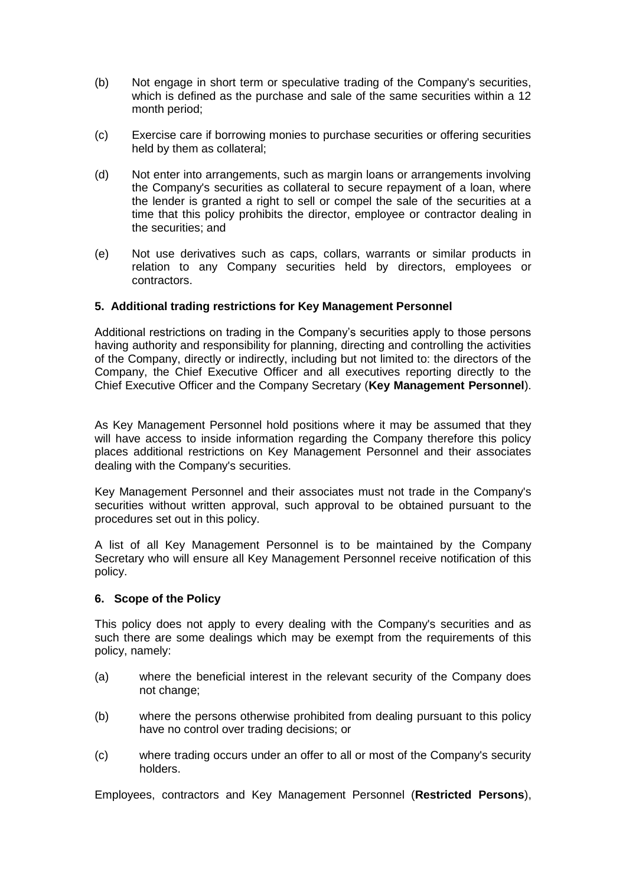- (b) Not engage in short term or speculative trading of the Company's securities, which is defined as the purchase and sale of the same securities within a 12 month period;
- (c) Exercise care if borrowing monies to purchase securities or offering securities held by them as collateral;
- (d) Not enter into arrangements, such as margin loans or arrangements involving the Company's securities as collateral to secure repayment of a loan, where the lender is granted a right to sell or compel the sale of the securities at a time that this policy prohibits the director, employee or contractor dealing in the securities; and
- (e) Not use derivatives such as caps, collars, warrants or similar products in relation to any Company securities held by directors, employees or contractors.

## **5. Additional trading restrictions for Key Management Personnel**

Additional restrictions on trading in the Company's securities apply to those persons having authority and responsibility for planning, directing and controlling the activities of the Company, directly or indirectly, including but not limited to: the directors of the Company, the Chief Executive Officer and all executives reporting directly to the Chief Executive Officer and the Company Secretary (**Key Management Personnel**).

As Key Management Personnel hold positions where it may be assumed that they will have access to inside information regarding the Company therefore this policy places additional restrictions on Key Management Personnel and their associates dealing with the Company's securities.

Key Management Personnel and their associates must not trade in the Company's securities without written approval, such approval to be obtained pursuant to the procedures set out in this policy.

A list of all Key Management Personnel is to be maintained by the Company Secretary who will ensure all Key Management Personnel receive notification of this policy.

#### **6. Scope of the Policy**

This policy does not apply to every dealing with the Company's securities and as such there are some dealings which may be exempt from the requirements of this policy, namely:

- (a) where the beneficial interest in the relevant security of the Company does not change;
- (b) where the persons otherwise prohibited from dealing pursuant to this policy have no control over trading decisions; or
- (c) where trading occurs under an offer to all or most of the Company's security holders.

Employees, contractors and Key Management Personnel (**Restricted Persons**),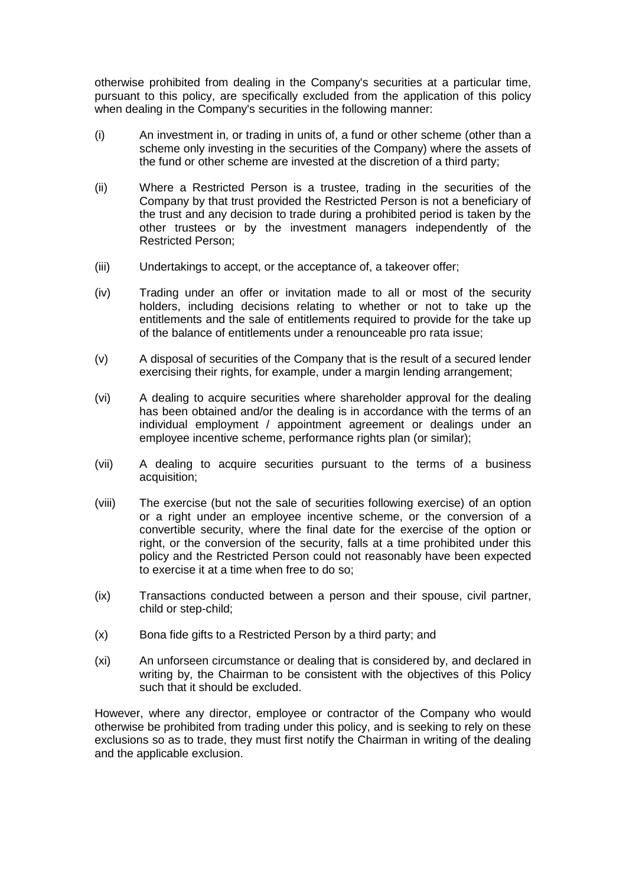otherwise prohibited from dealing in the Company's securities at a particular time, pursuant to this policy, are specifically excluded from the application of this policy when dealing in the Company's securities in the following manner:

- (i) An investment in, or trading in units of, a fund or other scheme (other than a scheme only investing in the securities of the Company) where the assets of the fund or other scheme are invested at the discretion of a third party;
- (ii) Where a Restricted Person is a trustee, trading in the securities of the Company by that trust provided the Restricted Person is not a beneficiary of the trust and any decision to trade during a prohibited period is taken by the other trustees or by the investment managers independently of the Restricted Person;
- (iii) Undertakings to accept, or the acceptance of, a takeover offer;
- (iv) Trading under an offer or invitation made to all or most of the security holders, including decisions relating to whether or not to take up the entitlements and the sale of entitlements required to provide for the take up of the balance of entitlements under a renounceable pro rata issue;
- (v) A disposal of securities of the Company that is the result of a secured lender exercising their rights, for example, under a margin lending arrangement;
- (vi) A dealing to acquire securities where shareholder approval for the dealing has been obtained and/or the dealing is in accordance with the terms of an individual employment / appointment agreement or dealings under an employee incentive scheme, performance rights plan (or similar);
- (vii) A dealing to acquire securities pursuant to the terms of a business acquisition;
- (viii) The exercise (but not the sale of securities following exercise) of an option or a right under an employee incentive scheme, or the conversion of a convertible security, where the final date for the exercise of the option or right, or the conversion of the security, falls at a time prohibited under this policy and the Restricted Person could not reasonably have been expected to exercise it at a time when free to do so;
- (ix) Transactions conducted between a person and their spouse, civil partner, child or step-child;
- (x) Bona fide gifts to a Restricted Person by a third party; and
- (xi) An unforseen circumstance or dealing that is considered by, and declared in writing by, the Chairman to be consistent with the objectives of this Policy such that it should be excluded.

However, where any director, employee or contractor of the Company who would otherwise be prohibited from trading under this policy, and is seeking to rely on these exclusions so as to trade, they must first notify the Chairman in writing of the dealing and the applicable exclusion.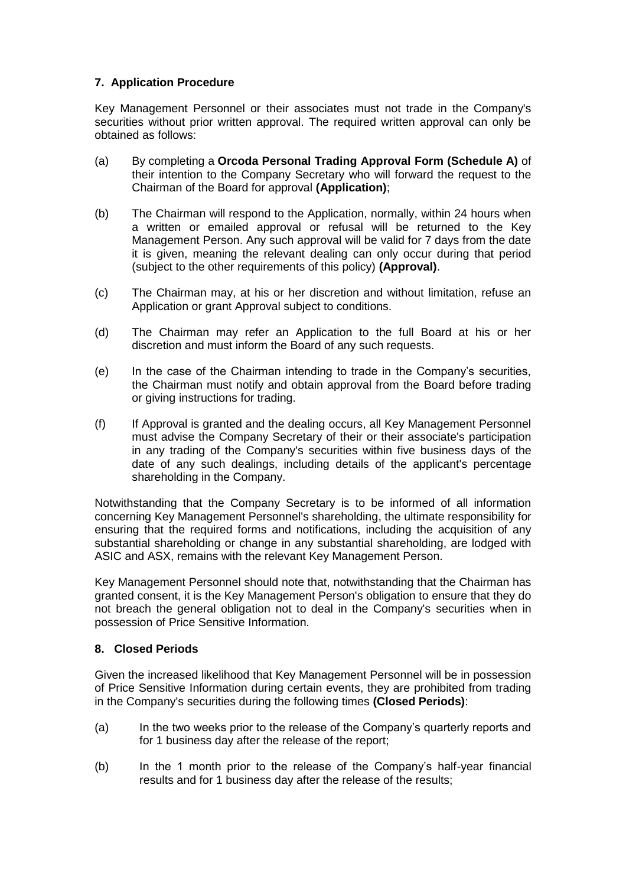# **7. Application Procedure**

Key Management Personnel or their associates must not trade in the Company's securities without prior written approval. The required written approval can only be obtained as follows:

- (a) By completing a **Orcoda Personal Trading Approval Form (Schedule A)** of their intention to the Company Secretary who will forward the request to the Chairman of the Board for approval **(Application)**;
- (b) The Chairman will respond to the Application, normally, within 24 hours when a written or emailed approval or refusal will be returned to the Key Management Person. Any such approval will be valid for 7 days from the date it is given, meaning the relevant dealing can only occur during that period (subject to the other requirements of this policy) **(Approval)**.
- (c) The Chairman may, at his or her discretion and without limitation, refuse an Application or grant Approval subject to conditions.
- (d) The Chairman may refer an Application to the full Board at his or her discretion and must inform the Board of any such requests.
- (e) In the case of the Chairman intending to trade in the Company's securities, the Chairman must notify and obtain approval from the Board before trading or giving instructions for trading.
- (f) If Approval is granted and the dealing occurs, all Key Management Personnel must advise the Company Secretary of their or their associate's participation in any trading of the Company's securities within five business days of the date of any such dealings, including details of the applicant's percentage shareholding in the Company.

Notwithstanding that the Company Secretary is to be informed of all information concerning Key Management Personnel's shareholding, the ultimate responsibility for ensuring that the required forms and notifications, including the acquisition of any substantial shareholding or change in any substantial shareholding, are lodged with ASIC and ASX, remains with the relevant Key Management Person.

Key Management Personnel should note that, notwithstanding that the Chairman has granted consent, it is the Key Management Person's obligation to ensure that they do not breach the general obligation not to deal in the Company's securities when in possession of Price Sensitive Information.

# **8. Closed Periods**

Given the increased likelihood that Key Management Personnel will be in possession of Price Sensitive Information during certain events, they are prohibited from trading in the Company's securities during the following times **(Closed Periods)**:

- (a) In the two weeks prior to the release of the Company's quarterly reports and for 1 business day after the release of the report;
- (b) In the 1 month prior to the release of the Company's half-year financial results and for 1 business day after the release of the results;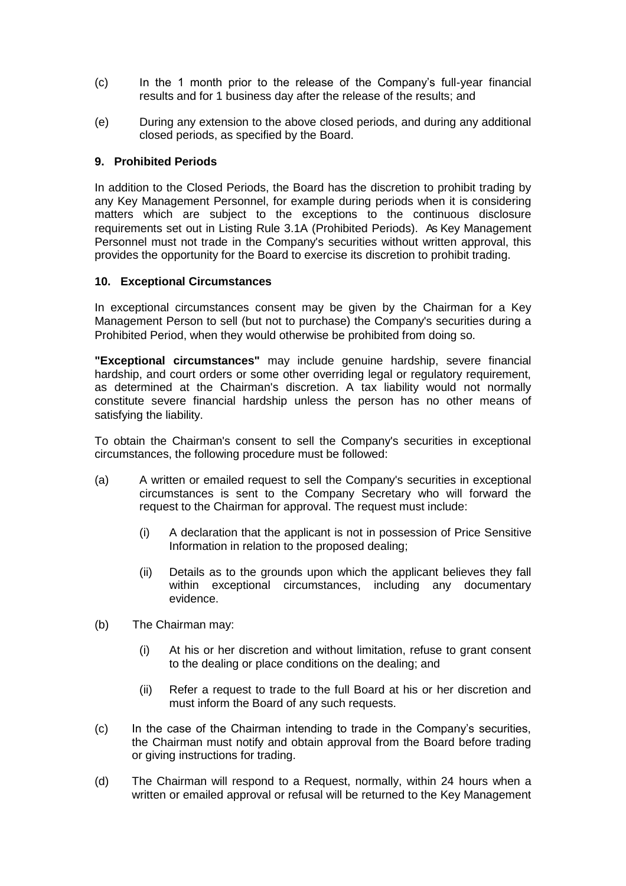- (c) In the 1 month prior to the release of the Company's full-year financial results and for 1 business day after the release of the results; and
- (e) During any extension to the above closed periods, and during any additional closed periods, as specified by the Board.

## **9. Prohibited Periods**

In addition to the Closed Periods, the Board has the discretion to prohibit trading by any Key Management Personnel, for example during periods when it is considering matters which are subject to the exceptions to the continuous disclosure requirements set out in Listing Rule 3.1A (Prohibited Periods). As Key Management Personnel must not trade in the Company's securities without written approval, this provides the opportunity for the Board to exercise its discretion to prohibit trading.

## **10. Exceptional Circumstances**

In exceptional circumstances consent may be given by the Chairman for a Key Management Person to sell (but not to purchase) the Company's securities during a Prohibited Period, when they would otherwise be prohibited from doing so.

**"Exceptional circumstances"** may include genuine hardship, severe financial hardship, and court orders or some other overriding legal or regulatory requirement, as determined at the Chairman's discretion. A tax liability would not normally constitute severe financial hardship unless the person has no other means of satisfying the liability.

To obtain the Chairman's consent to sell the Company's securities in exceptional circumstances, the following procedure must be followed:

- (a) A written or emailed request to sell the Company's securities in exceptional circumstances is sent to the Company Secretary who will forward the request to the Chairman for approval. The request must include:
	- (i) A declaration that the applicant is not in possession of Price Sensitive Information in relation to the proposed dealing;
	- (ii) Details as to the grounds upon which the applicant believes they fall within exceptional circumstances, including any documentary evidence.
- (b) The Chairman may:
	- (i) At his or her discretion and without limitation, refuse to grant consent to the dealing or place conditions on the dealing; and
	- (ii) Refer a request to trade to the full Board at his or her discretion and must inform the Board of any such requests.
- (c) In the case of the Chairman intending to trade in the Company's securities, the Chairman must notify and obtain approval from the Board before trading or giving instructions for trading.
- (d) The Chairman will respond to a Request, normally, within 24 hours when a written or emailed approval or refusal will be returned to the Key Management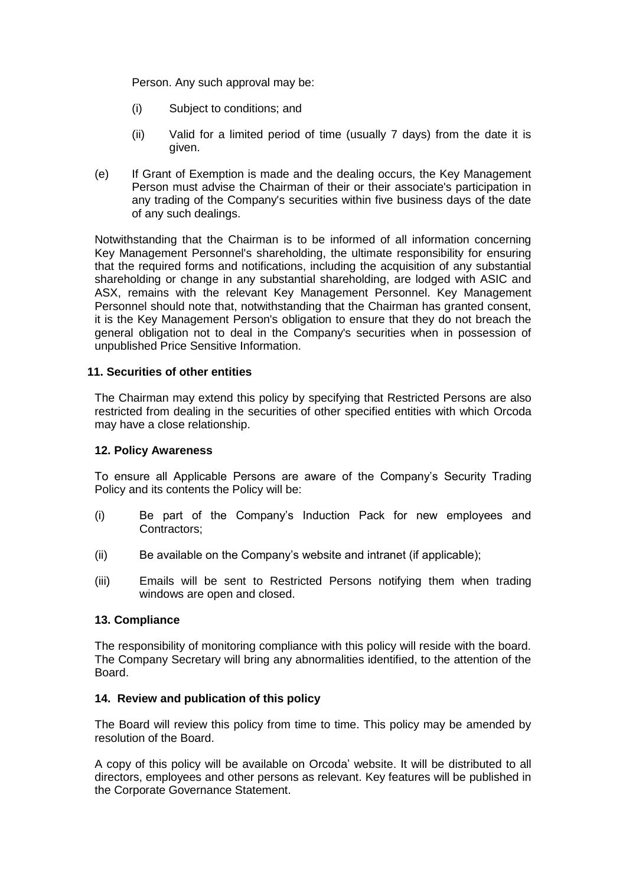Person. Any such approval may be:

- (i) Subject to conditions; and
- (ii) Valid for a limited period of time (usually 7 days) from the date it is given.
- (e) If Grant of Exemption is made and the dealing occurs, the Key Management Person must advise the Chairman of their or their associate's participation in any trading of the Company's securities within five business days of the date of any such dealings.

Notwithstanding that the Chairman is to be informed of all information concerning Key Management Personnel's shareholding, the ultimate responsibility for ensuring that the required forms and notifications, including the acquisition of any substantial shareholding or change in any substantial shareholding, are lodged with ASIC and ASX, remains with the relevant Key Management Personnel. Key Management Personnel should note that, notwithstanding that the Chairman has granted consent, it is the Key Management Person's obligation to ensure that they do not breach the general obligation not to deal in the Company's securities when in possession of unpublished Price Sensitive Information.

## **11. Securities of other entities**

The Chairman may extend this policy by specifying that Restricted Persons are also restricted from dealing in the securities of other specified entities with which Orcoda may have a close relationship.

#### **12. Policy Awareness**

To ensure all Applicable Persons are aware of the Company's Security Trading Policy and its contents the Policy will be:

- (i) Be part of the Company's Induction Pack for new employees and Contractors;
- (ii) Be available on the Company's website and intranet (if applicable);
- (iii) Emails will be sent to Restricted Persons notifying them when trading windows are open and closed.

#### **13. Compliance**

The responsibility of monitoring compliance with this policy will reside with the board. The Company Secretary will bring any abnormalities identified, to the attention of the Board.

# **14. Review and publication of this policy**

The Board will review this policy from time to time. This policy may be amended by resolution of the Board.

A copy of this policy will be available on Orcoda' website. It will be distributed to all directors, employees and other persons as relevant. Key features will be published in the Corporate Governance Statement.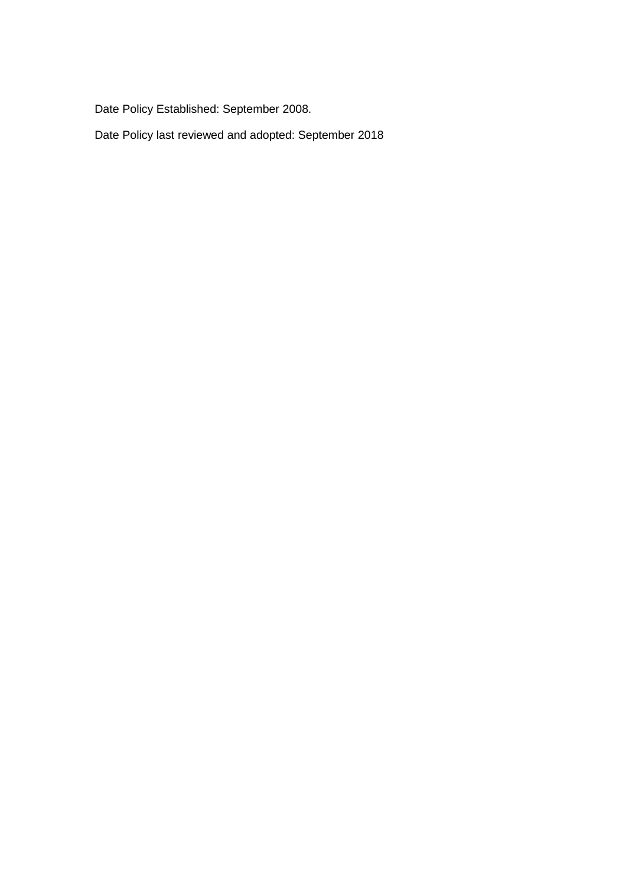Date Policy Established: September 2008.

Date Policy last reviewed and adopted: September 2018